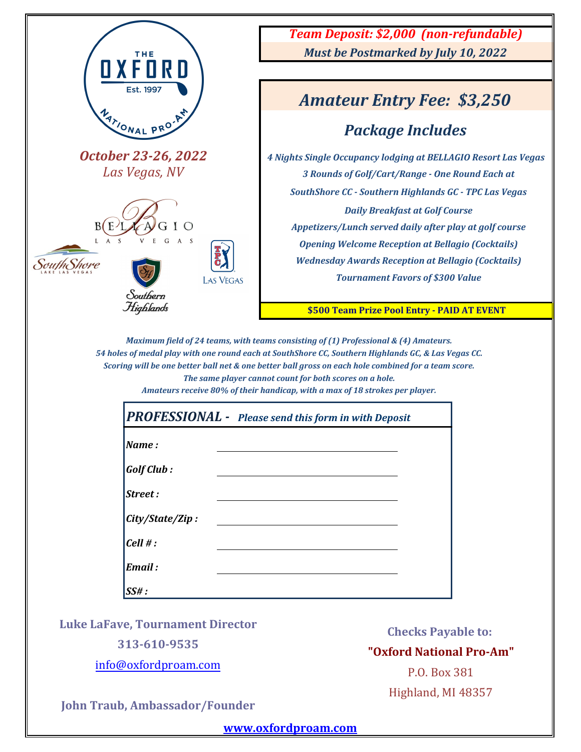

*Maximum field of 24 teams, with teams consisting of (1) Professional & (4) Amateurs. 54 holes of medal play with one round each at SouthShore CC, Southern Highlands GC, & Las Vegas CC. Scoring will be one better ball net & one better ball gross on each hole combined for a team score. The same player cannot count for both scores on a hole.*

*Amateurs receive 80% of their handicap, with a max of 18 strokes per player.*

| <b>PROFESSIONAL</b> - Please send this form in with Deposit |  |  |  |  |  |
|-------------------------------------------------------------|--|--|--|--|--|
| $\blacksquare$ <i>Name</i> :                                |  |  |  |  |  |
| $\vert$ Golf Club :                                         |  |  |  |  |  |
| Street:                                                     |  |  |  |  |  |
| City/State/Zip:                                             |  |  |  |  |  |
| Cell #:                                                     |  |  |  |  |  |
| Email :                                                     |  |  |  |  |  |
| $\mathsf{ISS}$ # :                                          |  |  |  |  |  |

**Luke LaFave, Tournament Director**

**313-610-9535**

info@oxfordproam.com

**Checks Payable to:**

**"Oxford National Pro-Am"**

P.O. Box 381 Highland, MI 48357

**John Traub, Ambassador/Founder**

**www.oxfordproam.com**